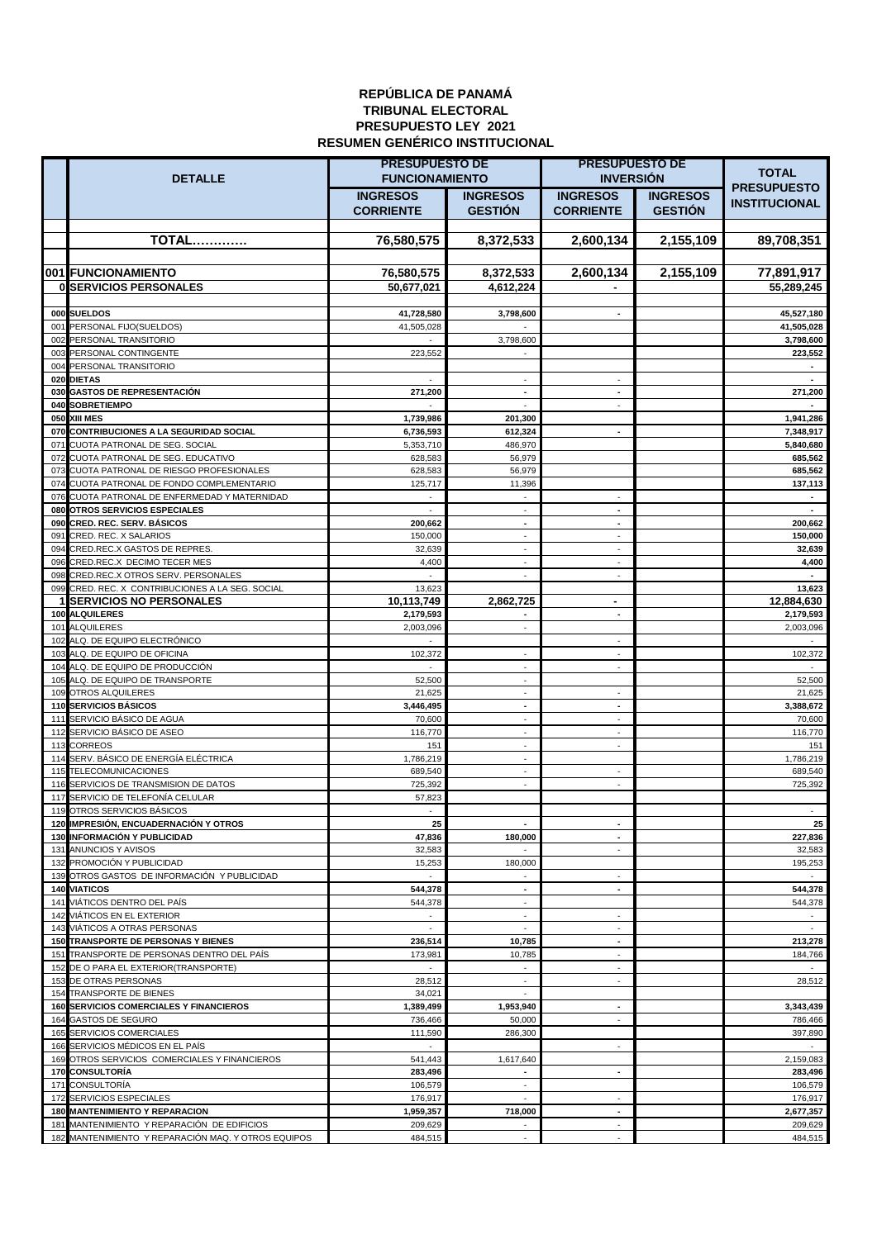## **REPÚBLICA DE PANAMÁ TRIBUNAL ELECTORAL PRESUPUESTO LEY 2021 RESUMEN GENÉRICO INSTITUCIONAL**

|                                                                                          | <b>PRESUPUESTO DE</b>  |                                    | PRESUPUESTO DE                        |                 | <b>TOTAL</b>            |
|------------------------------------------------------------------------------------------|------------------------|------------------------------------|---------------------------------------|-----------------|-------------------------|
| <b>DETALLE</b>                                                                           | <b>FUNCIONAMIENTO</b>  |                                    | <b>INVERSION</b>                      |                 | <b>PRESUPUESTO</b>      |
|                                                                                          | <b>INGRESOS</b>        | <b>INGRESOS</b>                    | <b>INGRESOS</b>                       | <b>INGRESOS</b> | <b>INSTITUCIONAL</b>    |
|                                                                                          | <b>CORRIENTE</b>       | <b>GESTION</b>                     | <b>CORRIENTE</b>                      | <b>GESTIÓN</b>  |                         |
| <b>TOTAL</b>                                                                             | 76,580,575             | 8,372,533                          | 2,600,134                             | 2,155,109       | 89,708,351              |
|                                                                                          |                        |                                    |                                       |                 |                         |
| 001 FUNCIONAMIENTO                                                                       | 76,580,575             | 8,372,533                          | 2,600,134                             | 2,155,109       | 77,891,917              |
| <b>0 SERVICIOS PERSONALES</b>                                                            | 50,677,021             | 4,612,224                          |                                       |                 | 55,289,245              |
|                                                                                          |                        |                                    |                                       |                 |                         |
| 000 SUELDOS                                                                              | 41,728,580             | 3,798,600                          | $\blacksquare$                        |                 | 45,527,180              |
| 001 PERSONAL FIJO(SUELDOS)<br>002 PERSONAL TRANSITORIO                                   | 41,505,028<br>$\sim$   | 3,798,600                          |                                       |                 | 41,505,028<br>3,798,600 |
| 003 PERSONAL CONTINGENTE                                                                 | 223,552                |                                    |                                       |                 | 223,552                 |
| 004 PERSONAL TRANSITORIO                                                                 |                        |                                    |                                       |                 |                         |
| 020 DIETAS                                                                               |                        |                                    | $\overline{\phantom{a}}$              |                 |                         |
| 030 GASTOS DE REPRESENTACIÓN<br>040 SOBRETIEMPO                                          | 271,200                | $\overline{\phantom{a}}$           | $\blacksquare$                        |                 | 271,200                 |
| 050 XIII MES                                                                             | 1,739,986              | 201,300                            |                                       |                 | 1,941,286               |
| 070 CONTRIBUCIONES A LA SEGURIDAD SOCIAL                                                 | 6,736,593              | 612,324                            | $\blacksquare$                        |                 | 7,348,917               |
| 071 CUOTA PATRONAL DE SEG. SOCIAL                                                        | 5,353,710              | 486,970                            |                                       |                 | 5,840,680               |
| 072 CUOTA PATRONAL DE SEG. EDUCATIVO                                                     | 628,583                | 56,979                             |                                       |                 | 685,562                 |
| 073 CUOTA PATRONAL DE RIESGO PROFESIONALES<br>074 CUOTA PATRONAL DE FONDO COMPLEMENTARIO | 628,583<br>125,717     | 56,979<br>11,396                   |                                       |                 | 685,562<br>137,113      |
| 076 CUOTA PATRONAL DE ENFERMEDAD Y MATERNIDAD                                            | $\bar{\phantom{a}}$    |                                    | ÷.                                    |                 | $\blacksquare$          |
| 080 OTROS SERVICIOS ESPECIALES                                                           | $\sim$                 | ÷                                  | $\overline{a}$                        |                 | $\overline{a}$          |
| 090 CRED, REC. SERV, BÁSICOS                                                             | 200,662                | $\blacksquare$                     | $\blacksquare$                        |                 | 200,662                 |
| 091 CRED. REC. X SALARIOS<br>094 CRED.REC.X GASTOS DE REPRES.                            | 150,000<br>32,639      | $\omega$<br>$\sim$                 | $\omega$<br>$\sim$                    |                 | 150,000<br>32,639       |
| 096 CRED.REC.X DECIMO TECER MES                                                          | 4,400                  | ÷.                                 | ÷.                                    |                 | 4,400                   |
| 098 CRED.REC.X OTROS SERV. PERSONALES                                                    |                        | ÷.                                 | $\sim$                                |                 |                         |
| 099 CRED. REC. X CONTRIBUCIONES A LA SEG. SOCIAL                                         | 13,623                 |                                    |                                       |                 | 13,623                  |
| <b>1 SERVICIOS NO PERSONALES</b><br>100 ALQUILERES                                       | 10,113,749             | 2,862,725                          | $\blacksquare$                        |                 | 12,884,630              |
| 101 ALQUILERES                                                                           | 2,179,593<br>2,003,096 | $\blacksquare$                     | $\blacksquare$                        |                 | 2,179,593<br>2,003,096  |
| 102 ALQ. DE EQUIPO ELECTRÓNICO                                                           | $\mathbf{r}$           |                                    | $\sim$                                |                 | $\mathbf{r}$            |
| 103 ALQ. DE EQUIPO DE OFICINA                                                            | 102,372                | ÷.                                 | ÷.                                    |                 | 102,372                 |
| 104 ALQ. DE EQUIPO DE PRODUCCIÓN                                                         | ÷.                     | ÷.                                 | $\omega$                              |                 | $\sim$                  |
| 105 ALQ. DE EQUIPO DE TRANSPORTE<br>109 OTROS ALQUILERES                                 | 52,500<br>21,625       | $\overline{\phantom{a}}$<br>$\sim$ | $\sim$                                |                 | 52,500<br>21,625        |
| <b>110 SERVICIOS BÁSICOS</b>                                                             | 3,446,495              | $\blacksquare$                     | $\blacksquare$                        |                 | 3,388,672               |
| 111 SERVICIO BÁSICO DE AGUA                                                              | 70,600                 | $\blacksquare$                     | $\blacksquare$                        |                 | 70,600                  |
| 112 SERVICIO BÁSICO DE ASEO                                                              | 116,770                |                                    | $\sim$                                |                 | 116,770                 |
| 113 CORREOS<br>114 SERV. BÁSICO DE ENERGÍA ELÉCTRICA                                     | 151<br>1,786,219       | ä,                                 | $\blacksquare$                        |                 | 151<br>1,786,219        |
| 115 TELECOMUNICACIONES                                                                   | 689,540                |                                    | $\blacksquare$                        |                 | 689,540                 |
| 116 SERVICIOS DE TRANSMISION DE DATOS                                                    | 725,392                |                                    |                                       |                 | 725,392                 |
| 117 SERVICIO DE TELEFONÍA CELULAR                                                        | 57,823                 |                                    |                                       |                 |                         |
| 119 OTROS SERVICIOS BÁSICOS<br>120 IMPRESIÓN, ENCUADERNACIÓN Y OTROS                     | 25                     | $\overline{\phantom{a}}$           | $\overline{\phantom{a}}$              |                 | 25                      |
| <b>130 INFORMACIÓN Y PUBLICIDAD</b>                                                      | 47,836                 | 180,000                            | $\overline{\phantom{a}}$              |                 | 227,836                 |
| 131 ANUNCIOS Y AVISOS                                                                    | 32,583                 |                                    | ÷.                                    |                 | 32,583                  |
| 132 PROMOCIÓN Y PUBLICIDAD                                                               | 15,253                 | 180,000                            |                                       |                 | 195,253                 |
| 139 OTROS GASTOS DE INFORMACIÓN Y PUBLICIDAD                                             | $\omega$               | $\blacksquare$                     | ÷.<br>$\blacksquare$                  |                 |                         |
| <b>140 VIATICOS</b><br>141 VIÁTICOS DENTRO DEL PAÍS                                      | 544,378<br>544,378     | $\sim$                             |                                       |                 | 544,378<br>544,378      |
| 142 VIÁTICOS EN EL EXTERIOR                                                              | $\sim$                 | $\sim$                             | $\sim$                                |                 |                         |
| 143 VIÁTICOS A OTRAS PERSONAS                                                            | $\blacksquare$         | $\sim$                             | ÷.                                    |                 | $\sim$                  |
| 150 TRANSPORTE DE PERSONAS Y BIENES                                                      | 236,514                | 10,785                             | $\blacksquare$                        |                 | 213,278                 |
| 151 TRANSPORTE DE PERSONAS DENTRO DEL PAÍS<br>152 DE O PARA EL EXTERIOR(TRANSPORTE)      | 173,981<br>$\sim$      | 10,785<br>$\blacksquare$           | $\sim$<br>$\mathcal{L}_{\mathcal{A}}$ |                 | 184,766<br>$\sim$       |
| 153 DE OTRAS PERSONAS                                                                    | 28,512                 | $\sim$                             | ÷.                                    |                 | 28,512                  |
| 154 TRANSPORTE DE BIENES                                                                 | 34,021                 | $\sim$                             |                                       |                 |                         |
| <b>160 SERVICIOS COMERCIALES Y FINANCIEROS</b>                                           | 1,389,499              | 1,953,940                          | $\overline{\phantom{a}}$              |                 | 3,343,439               |
| 164 GASTOS DE SEGURO<br>165 SERVICIOS COMERCIALES                                        | 736,466<br>111,590     | 50,000<br>286,300                  | $\sim$                                |                 | 786,466<br>397,890      |
| 166 SERVICIOS MÉDICOS EN EL PAÍS                                                         | $\omega$               |                                    | $\mathcal{L}_{\mathcal{A}}$           |                 | $\omega$                |
| 169 OTROS SERVICIOS COMERCIALES Y FINANCIEROS                                            | 541,443                | 1,617,640                          |                                       |                 | 2,159,083               |
| <b>170 CONSULTORÍA</b>                                                                   | 283,496                | $\blacksquare$                     | $\blacksquare$                        |                 | 283,496                 |
| 171 CONSULTORÍA                                                                          | 106,579                |                                    |                                       |                 | 106,579                 |
| 172 SERVICIOS ESPECIALES<br><b>180 MANTENIMIENTO Y REPARACION</b>                        | 176,917<br>1,959,357   | 718,000                            | $\blacksquare$<br>$\blacksquare$      |                 | 176,917<br>2,677,357    |
| 181 MANTENIMIENTO Y REPARACIÓN DE EDIFICIOS                                              | 209,629                |                                    | $\blacksquare$                        |                 | 209,629                 |
| 182 MANTENIMIENTO Y REPARACIÓN MAQ. Y OTROS EQUIPOS                                      | 484,515                |                                    |                                       |                 | 484,515                 |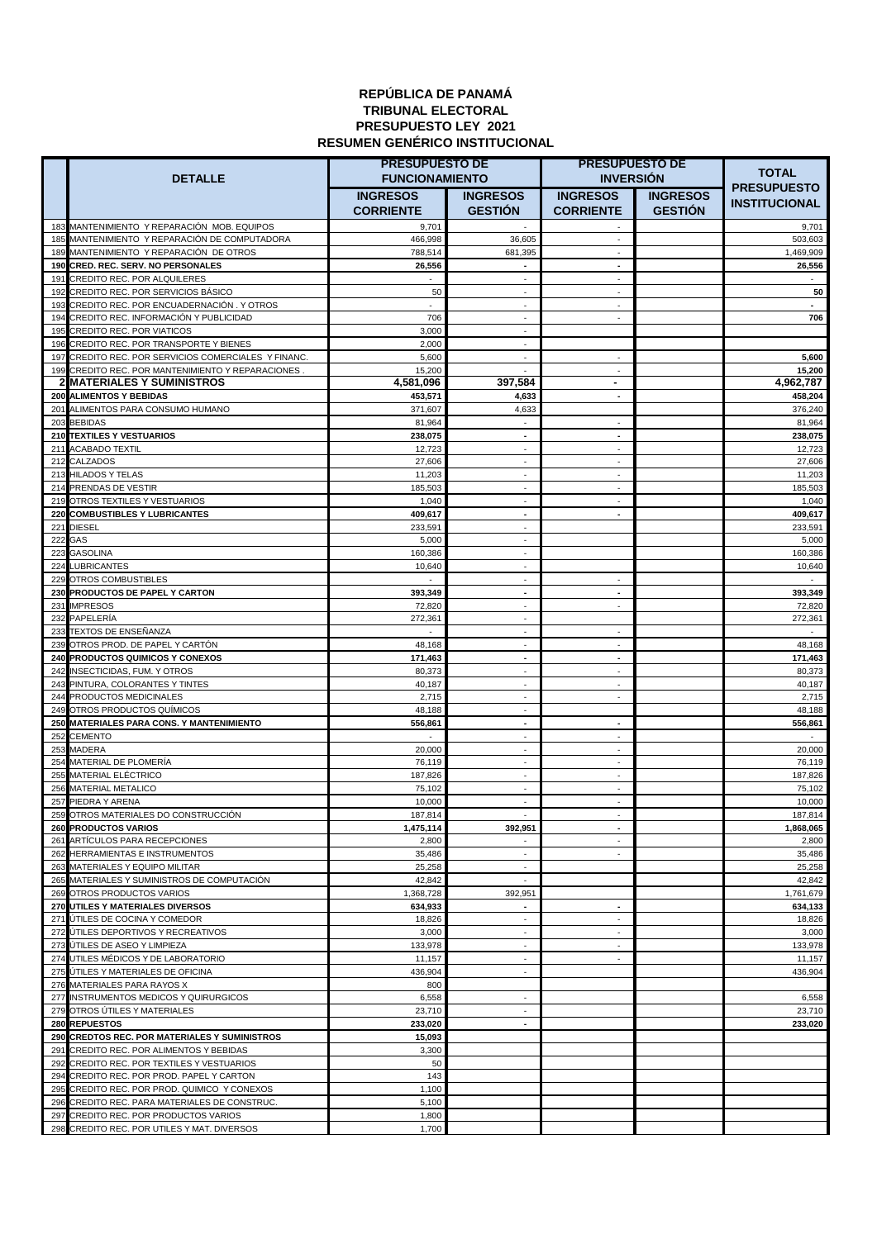## **REPÚBLICA DE PANAMÁ TRIBUNAL ELECTORAL PRESUPUESTO LEY 2021 RESUMEN GENÉRICO INSTITUCIONAL**

|     |                                                                                                           | <b>PRESUPUESTO DE</b> |                                | <b>PRESUPUESTO DE</b>                 |                 |                                    |
|-----|-----------------------------------------------------------------------------------------------------------|-----------------------|--------------------------------|---------------------------------------|-----------------|------------------------------------|
|     | <b>DETALLE</b>                                                                                            | <b>FUNCIONAMIENTO</b> |                                | <b>INVERSION</b>                      |                 | <b>TOTAL</b><br><b>PRESUPUESTO</b> |
|     |                                                                                                           | <b>INGRESOS</b>       | <b>INGRESOS</b>                | <b>INGRESOS</b>                       | <b>INGRESOS</b> | <b>INSTITUCIONAL</b>               |
|     |                                                                                                           | <b>CORRIENTE</b>      | <b>GESTION</b>                 | <b>CORRIENTE</b>                      | <b>GESTIÓN</b>  |                                    |
|     | 183 MANTENIMIENTO Y REPARACIÓN MOB. EQUIPOS                                                               | 9,701                 |                                |                                       |                 | 9,701                              |
|     | 185 MANTENIMIENTO Y REPARACIÓN DE COMPUTADORA                                                             | 466,998               | 36,605                         | $\sim$                                |                 | 503,603                            |
|     | 189 MANTENIMIENTO Y REPARACIÓN DE OTROS<br>190 CRED. REC. SERV. NO PERSONALES                             | 788,514<br>26,556     | 681,395<br>$\blacksquare$      | ÷.<br>$\overline{\phantom{a}}$        |                 | 1,469,909<br>26,556                |
|     | 191 CREDITO REC. POR ALQUILERES                                                                           | ÷.                    | $\sim$                         | ÷.                                    |                 | $\omega$                           |
|     | 192 CREDITO REC. POR SERVICIOS BÁSICO                                                                     | 50                    | ÷.                             | ÷.                                    |                 | 50                                 |
|     | 193 CREDITO REC. POR ENCUADERNACIÓN. Y OTROS                                                              | ÷                     | ÷.                             | ÷.                                    |                 | $\overline{a}$                     |
|     | 194 CREDITO REC. INFORMACIÓN Y PUBLICIDAD                                                                 | 706                   | $\overline{\phantom{a}}$       | $\sim$                                |                 | 706                                |
|     | 195 CREDITO REC. POR VIATICOS                                                                             | 3,000                 | $\sim$                         |                                       |                 |                                    |
|     | 196 CREDITO REC. POR TRANSPORTE Y BIENES                                                                  | 2,000                 | ٠                              |                                       |                 |                                    |
|     | 197 CREDITO REC. POR SERVICIOS COMERCIALES Y FINANC.<br>199 CREDITO REC. POR MANTENIMIENTO Y REPARACIONES | 5,600<br>15,200       | $\blacksquare$                 | $\sim$<br>$\sim$                      |                 | 5,600<br>15,200                    |
|     | 2 MATERIALES Y SUMINISTROS                                                                                | 4,581,096             | 397,584                        | ٠                                     |                 | 4,962,787                          |
|     | 200 ALIMENTOS Y BEBIDAS                                                                                   | 453,571               | 4,633                          | $\overline{\phantom{a}}$              |                 | 458,204                            |
|     | 201 ALIMENTOS PARA CONSUMO HUMANO                                                                         | 371,607               | 4,633                          |                                       |                 | 376,240                            |
|     | 203 BEBIDAS                                                                                               | 81,964                |                                | $\sim$                                |                 | 81,964                             |
|     | 210 TEXTILES Y VESTUARIOS                                                                                 | 238,075               | $\overline{\phantom{a}}$       | $\overline{\phantom{a}}$              |                 | 238,075                            |
| 211 | <b>ACABADO TEXTIL</b><br>212 CALZADOS                                                                     | 12,723<br>27,606      | $\sim$                         | $\sim$<br>$\blacksquare$              |                 | 12,723<br>27,606                   |
|     | 213 HILADOS Y TELAS                                                                                       | 11,203                | $\overline{\phantom{a}}$       | $\sim$                                |                 | 11,203                             |
|     | 214 PRENDAS DE VESTIR                                                                                     | 185,503               | $\sim$                         | $\sim$                                |                 | 185,503                            |
|     | 219 OTROS TEXTILES Y VESTUARIOS                                                                           | 1,040                 | $\sim$                         | $\sim$                                |                 | 1,040                              |
|     | 220 COMBUSTIBLES Y LUBRICANTES                                                                            | 409,617               | $\blacksquare$                 | $\blacksquare$                        |                 | 409,617                            |
| 221 | <b>DIESEL</b>                                                                                             | 233,591               | $\sim$                         |                                       |                 | 233,591                            |
|     | 222 GAS<br>223 GASOLINA                                                                                   | 5,000<br>160,386      | $\sim$<br>÷.                   |                                       |                 | 5,000<br>160,386                   |
|     | 224 LUBRICANTES                                                                                           | 10,640                | $\sim$                         |                                       |                 | 10,640                             |
|     | 229 OTROS COMBUSTIBLES                                                                                    | $\sim$                | ÷.                             | $\sim$                                |                 | $\sim$                             |
|     | 230 PRODUCTOS DE PAPEL Y CARTON                                                                           | 393,349               | $\overline{\phantom{a}}$       | $\overline{\phantom{a}}$              |                 | 393,349                            |
|     | 231 IMPRESOS                                                                                              | 72,820                | ÷.                             | $\sim$                                |                 | 72,820                             |
|     | 232 PAPELERIA                                                                                             | 272,361               | ÷.                             |                                       |                 | 272,361                            |
|     | 233 TEXTOS DE ENSEÑANZA                                                                                   | $\omega$              | $\omega$<br>$\sim$             | $\sim$<br>$\sim$                      |                 | $\omega$                           |
|     | 239 OTROS PROD. DE PAPEL Y CARTÓN<br>240 PRODUCTOS QUIMICOS Y CONEXOS                                     | 48,168<br>171,463     | $\blacksquare$                 | $\overline{\phantom{a}}$              |                 | 48,168<br>171,463                  |
|     | 242 INSECTICIDAS, FUM. Y OTROS                                                                            | 80,373                | $\sim$                         | $\sim$                                |                 | 80,373                             |
|     | 243 PINTURA, COLORANTES Y TINTES                                                                          | 40,187                | ÷.                             | $\sim$                                |                 | 40,187                             |
|     | 244 PRODUCTOS MEDICINALES                                                                                 | 2,715                 | $\sim$                         | $\sim$                                |                 | 2,715                              |
|     | 249 OTROS PRODUCTOS QUÍMICOS                                                                              | 48,188                | $\blacksquare$                 |                                       |                 | 48,188                             |
|     | 250 MATERIALES PARA CONS. Y MANTENIMIENTO                                                                 | 556,861               | $\blacksquare$                 | $\blacksquare$                        |                 | 556,861                            |
|     | 252 CEMENTO<br>253 MADERA                                                                                 | 20,000                | ٠                              | $\sim$<br>$\sim$                      |                 | 20,000                             |
|     | 254 MATERIAL DE PLOMERÍA                                                                                  | 76,119                |                                | $\blacksquare$                        |                 | 76,119                             |
|     | 255 MATERIAL ELÉCTRICO                                                                                    | 187,826               |                                | $\sim$                                |                 | 187,826                            |
|     | 256 MATERIAL METALICO                                                                                     | 75,102                | $\sim$                         | $\sim$                                |                 | 75,102                             |
|     | 257 PIEDRA Y ARENA                                                                                        | 10,000                | $\sim$                         | $\sim$                                |                 | 10,000                             |
|     | 259 OTROS MATERIALES DO CONSTRUCCIÓN                                                                      | 187,814               |                                |                                       |                 | 187,814                            |
|     | <b>260 PRODUCTOS VARIOS</b>                                                                               | 1,475,114             | 392,951                        | $\overline{\phantom{a}}$              |                 | 1,868,065                          |
|     | 261 ARTÍCULOS PARA RECEPCIONES<br>262 HERRAMIENTAS E INSTRUMENTOS                                         | 2,800<br>35,486       | $\sim$                         | $\sim$<br>$\omega$                    |                 | 2,800<br>35,486                    |
|     | 263 MATERIALES Y EQUIPO MILITAR                                                                           | 25,258                | $\sim$                         |                                       |                 | 25,258                             |
|     | 265 MATERIALES Y SUMINISTROS DE COMPUTACIÓN                                                               | 42,842                | ÷.                             |                                       |                 | 42,842                             |
|     | 269 OTROS PRODUCTOS VARIOS                                                                                | 1,368,728             | 392,951                        |                                       |                 | 1,761,679                          |
|     | 270 UTILES Y MATERIALES DIVERSOS                                                                          | 634,933               | $\blacksquare$                 | $\blacksquare$                        |                 | 634,133                            |
|     | 271 UTILES DE COCINA Y COMEDOR<br>272 UTILES DEPORTIVOS Y RECREATIVOS                                     | 18,826<br>3,000       | ÷.<br>$\overline{\phantom{a}}$ | $\sim$<br>$\mathcal{L}_{\mathcal{A}}$ |                 | 18,826<br>3,000                    |
|     | 273 UTILES DE ASEO Y LIMPIEZA                                                                             | 133,978               | $\overline{\phantom{a}}$       | $\blacksquare$                        |                 | 133,978                            |
|     | 274 UTILES MÉDICOS Y DE LABORATORIO                                                                       | 11,157                | $\sim$                         | $\omega$                              |                 | 11,157                             |
|     | 275 ÚTILES Y MATERIALES DE OFICINA                                                                        | 436,904               | $\blacksquare$                 |                                       |                 | 436,904                            |
|     | 276 MATERIALES PARA RAYOS X                                                                               | 800                   |                                |                                       |                 |                                    |
|     | 277 INSTRUMENTOS MEDICOS Y QUIRURGICOS                                                                    | 6,558                 | ٠                              |                                       |                 | 6,558                              |
|     | 279 OTROS ÚTILES Y MATERIALES                                                                             | 23,710                | ٠                              |                                       |                 | 23,710                             |
|     | 280 REPUESTOS<br>290 CREDTOS REC. POR MATERIALES Y SUMINISTROS                                            | 233,020<br>15,093     |                                |                                       |                 | 233,020                            |
|     | 291 CREDITO REC. POR ALIMENTOS Y BEBIDAS                                                                  | 3,300                 |                                |                                       |                 |                                    |
|     | 292 CREDITO REC. POR TEXTILES Y VESTUARIOS                                                                | 50                    |                                |                                       |                 |                                    |
|     | 294 CREDITO REC. POR PROD. PAPEL Y CARTON                                                                 | 143                   |                                |                                       |                 |                                    |
|     | 295 CREDITO REC. POR PROD. QUIMICO Y CONEXOS                                                              | 1,100                 |                                |                                       |                 |                                    |
|     | 296 CREDITO REC. PARA MATERIALES DE CONSTRUC.                                                             | 5,100                 |                                |                                       |                 |                                    |
|     | 297 CREDITO REC. POR PRODUCTOS VARIOS<br>298 CREDITO REC. POR UTILES Y MAT. DIVERSOS                      | 1,800                 |                                |                                       |                 |                                    |
|     |                                                                                                           | 1,700                 |                                |                                       |                 |                                    |